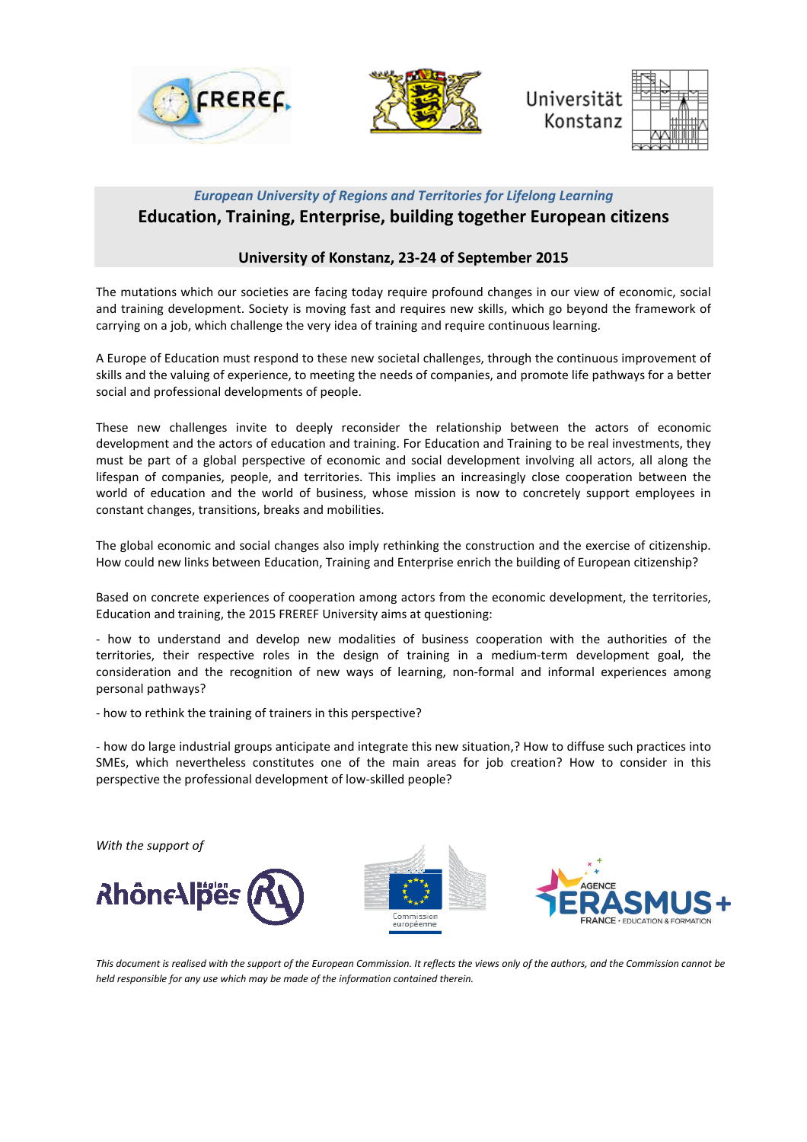



**Ilniversität** Konstanz



## *European University of Regions and Territories for Lifelong Learning*  **Education, Training, Enterprise, building together European citizens**

### **University of Konstanz, 23-24 of September 2015**

The mutations which our societies are facing today require profound changes in our view of economic, social and training development. Society is moving fast and requires new skills, which go beyond the framework of carrying on a job, which challenge the very idea of training and require continuous learning.

A Europe of Education must respond to these new societal challenges, through the continuous improvement of skills and the valuing of experience, to meeting the needs of companies, and promote life pathways for a better social and professional developments of people.

These new challenges invite to deeply reconsider the relationship between the actors of economic development and the actors of education and training. For Education and Training to be real investments, they must be part of a global perspective of economic and social development involving all actors, all along the lifespan of companies, people, and territories. This implies an increasingly close cooperation between the world of education and the world of business, whose mission is now to concretely support employees in constant changes, transitions, breaks and mobilities.

The global economic and social changes also imply rethinking the construction and the exercise of citizenship. How could new links between Education, Training and Enterprise enrich the building of European citizenship?

Based on concrete experiences of cooperation among actors from the economic development, the territories, Education and training, the 2015 FREREF University aims at questioning:

- how to understand and develop new modalities of business cooperation with the authorities of the territories, their respective roles in the design of training in a medium-term development goal, the consideration and the recognition of new ways of learning, non-formal and informal experiences among personal pathways?

- how to rethink the training of trainers in this perspective?

- how do large industrial groups anticipate and integrate this new situation,? How to diffuse such practices into SMEs, which nevertheless constitutes one of the main areas for job creation? How to consider in this perspective the professional development of low-skilled people?



*This document is realised with the support of the European Commission. It reflects the views only of the authors, and the Commission cannot be held responsible for any use which may be made of the information contained therein.*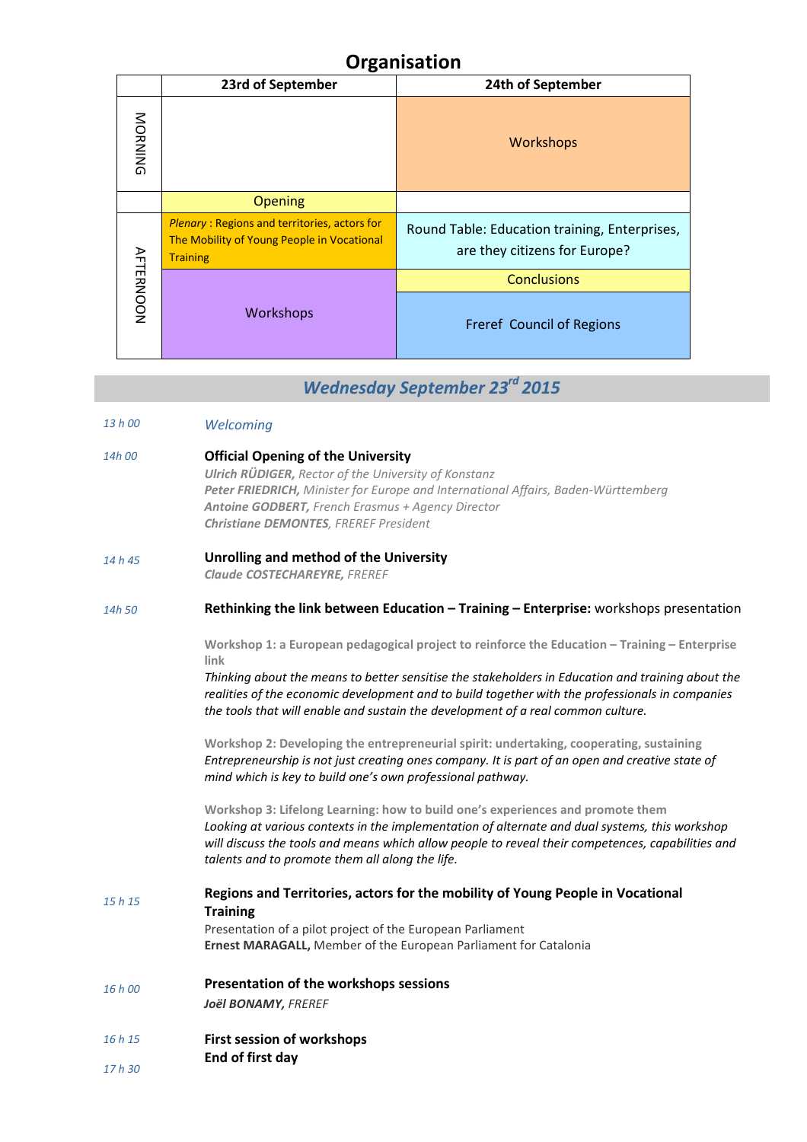# **Organisation**

|                  | 23rd of September                                                                                                    | 24th of September                                                              |
|------------------|----------------------------------------------------------------------------------------------------------------------|--------------------------------------------------------------------------------|
| NORNING          |                                                                                                                      | <b>Workshops</b>                                                               |
|                  | <b>Opening</b>                                                                                                       |                                                                                |
| <b>AFTERNOON</b> | <b>Plenary: Regions and territories, actors for</b><br>The Mobility of Young People in Vocational<br><b>Training</b> | Round Table: Education training, Enterprises,<br>are they citizens for Europe? |
|                  | <b>Workshops</b>                                                                                                     | <b>Conclusions</b>                                                             |
|                  |                                                                                                                      | Freref Council of Regions                                                      |

# *Wednesday September 23rd 2015*

- *13 h 00 Welcoming*
- *14h 00*  **Official Opening of the University**  *Ulrich RÜDIGER, Rector of the University of Konstanz Peter FRIEDRICH, Minister for Europe and International Affairs, Baden-Württemberg Antoine GODBERT, French Erasmus + Agency Director Christiane DEMONTES, FREREF President*
- *14 h 45*  **Unrolling and method of the University**

*Claude COSTECHAREYRE, FREREF* 

#### *14h 50*  **Rethinking the link between Education – Training – Enterprise:** workshops presentation

**Workshop 1: a European pedagogical project to reinforce the Education – Training – Enterprise link** 

*Thinking about the means to better sensitise the stakeholders in Education and training about the realities of the economic development and to build together with the professionals in companies the tools that will enable and sustain the development of a real common culture.* 

**Workshop 2: Developing the entrepreneurial spirit: undertaking, cooperating, sustaining** *Entrepreneurship is not just creating ones company. It is part of an open and creative state of mind which is key to build one's own professional pathway.* 

**Workshop 3: Lifelong Learning: how to build one's experiences and promote them** *Looking at various contexts in the implementation of alternate and dual systems, this workshop will discuss the tools and means which allow people to reveal their competences, capabilities and talents and to promote them all along the life.* 

*15 h 15 16 h 00*  **Regions and Territories, actors for the mobility of Young People in Vocational Training** Presentation of a pilot project of the European Parliament **Ernest MARAGALL,** Member of the European Parliament for Catalonia **Presentation of the workshops sessions** *Joël BONAMY, FREREF* 

- *16 h 15*  **First session of workshops**
- *17 h 30*  **End of first day**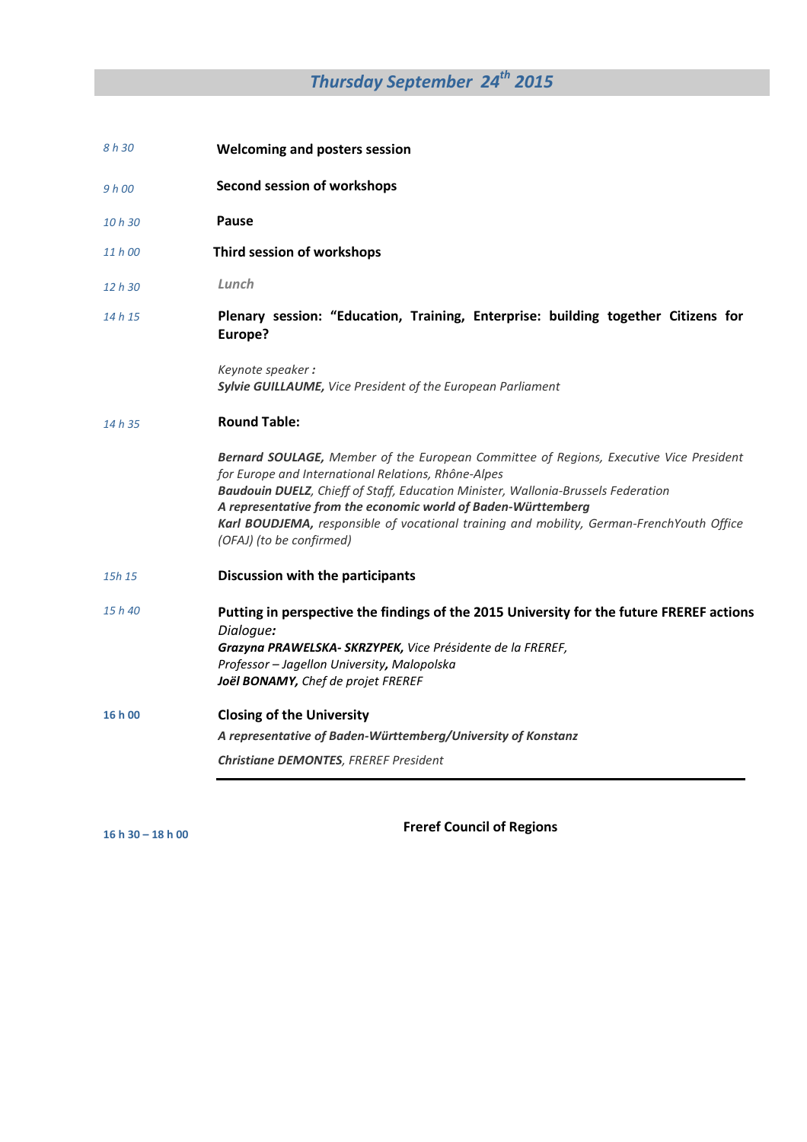# *Thursday September 24th 2015*

- *8 h 30*   **Welcoming and posters session**
- *9 h 00*   **Second session of workshops**

*10 h 30*   **Pause** 

- *11 h 00*  **Third session of workshops**
- *12 h 30 Lunch*

#### *14 h 15* **Plenary session: "Education, Training, Enterprise: building together Citizens for Europe?**

*Keynote speaker : Sylvie GUILLAUME, Vice President of the European Parliament*

#### *14 h 35*  **Round Table:**

*Bernard SOULAGE, Member of the European Committee of Regions, Executive Vice President for Europe and International Relations, Rhône-Alpes Baudouin DUELZ, Chieff of Staff, Education Minister, Wallonia-Brussels Federation A representative from the economic world of Baden-Württemberg Karl BOUDJEMA, responsible of vocational training and mobility, German-FrenchYouth Office (OFAJ) (to be confirmed)* 

- *15h 15*  **Discussion with the participants**
- *15 h 40*  **Putting in perspective the findings of the 2015 University for the future FREREF actions**  *Dialogue: Grazyna PRAWELSKA- SKRZYPEK, Vice Présidente de la FREREF, Professor – Jagellon University, Malopolska Joël BONAMY, Chef de projet FREREF*
- **16 h 00 Closing of the University**  *A representative of Baden-Württemberg/University of Konstanz Christiane DEMONTES, FREREF President*

**16 h 30 – 18 h 00** 

**Freref Council of Regions**